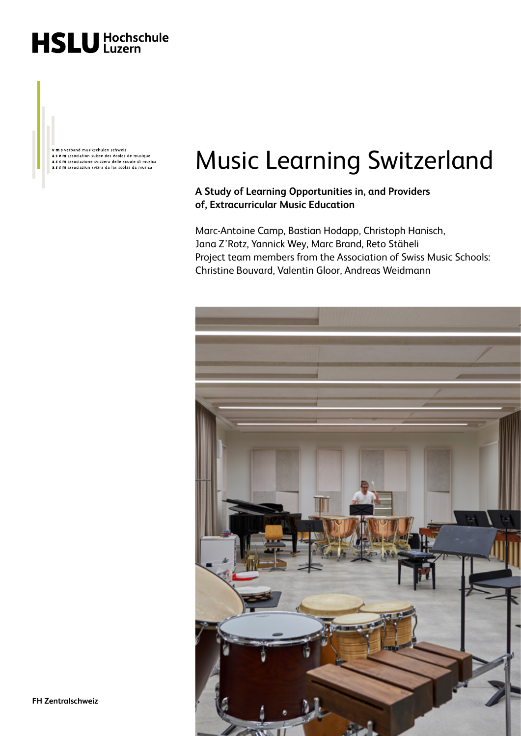

v m s verband musikschulen schweiz **The Second Second Second Second Second Second Second Second Second Second Second Second Second Second Second Second Second Second Second Second Second Second Second Second Second Second Second Second Second Second Second** 

# Music Learning Switzerland

**A Study of Learning Opportunities in, and Providers of, Extracurricular Music Education** 

Marc-Antoine Camp, Bastian Hodapp, Christoph Hanisch, Jana Z'Rotz, Yannick Wey, Marc Brand, Reto Stäheli Project team members from the Association of Swiss Music Schools: Christine Bouvard, Valentin Gloor, Andreas Weidmann

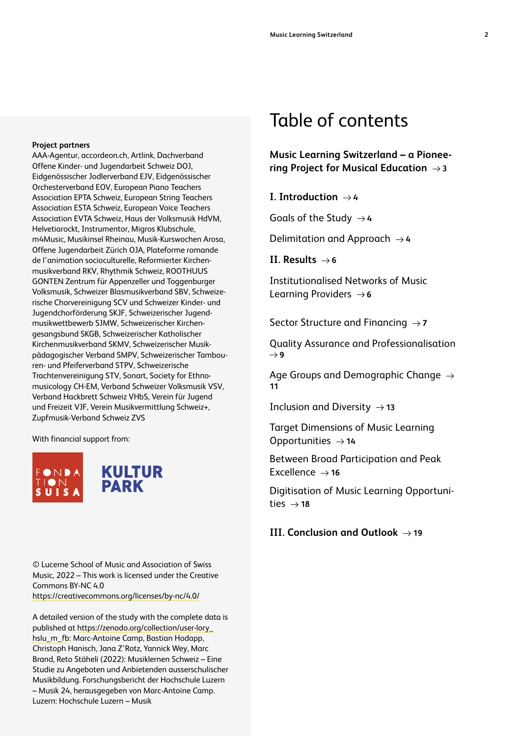AAA-Agentur, accordeon.ch, Artlink, Dachverband Offene Kinder- und Jugendarbeit Schweiz DOJ, Eidgenössischer Jodlerverband EJV, Eidgenössischer Orchesterverband EOV, European Piano Teachers Association EPTA Schweiz, European String Teachers Association ESTA Schweiz, European Voice Teachers Association EVTA Schweiz, Haus der Volksmusik HdVM, Helvetiarockt, Instrumentor, Migros Klubschule, m4Music, Musikinsel Rheinau, Musik-Kurswochen Arosa, Offene Jugendarbeit Zürich OJA, Plateforme romande de l'animation socioculturelle, Reformierter Kirchenmusikverband RKV, Rhythmik Schweiz, ROOTHUUS GONTEN Zentrum für Appenzeller und Toggenburger Volksmusik, Schweizer Blasmusikverband SBV, Schweizerische Chorvereinigung SCV und Schweizer Kinder- und Jugendchorförderung SKJF, Schweizerischer Jugendmusikwettbewerb SJMW, Schweizerischer Kirchengesangsbund SKGB, Schweizerischer Katholischer Kirchenmusikverband SKMV, Schweizerischer Musikpädagogischer Verband SMPV, Schweizerischer Tambouren- und Pfeiferverband STPV, Schweizerische Trachtenvereinigung STV, Sonart, Society for Ethnomusicology CH-EM, Verband Schweizer Volksmusik VSV, Verband Hackbrett Schweiz VHbS, Verein für Jugend und Freizeit VJF, Verein Musikvermittlung Schweiz+, Zupfmusik-Verband Schweiz ZVS

With financial support from:



© Lucerne School of Music and Association of Swiss Music, 2022 – This work is licensed under the Creative Commons BY-NC 4.0 <https://creativecommons.org/licenses/by-nc/4.0/>

A detailed version of the study with the complete data is published at [https://zenodo.org/collection/user-lory\\_](https://zenodo.org/collection/user-lory_hslu_m_fb) [hslu\\_m\\_fb](https://zenodo.org/collection/user-lory_hslu_m_fb): Marc-Antoine Camp, Bastian Hodapp, Christoph Hanisch, Jana Z'Rotz, Yannick Wey, Marc Brand, Reto Stäheli (2022): Musiklernen Schweiz – Eine Studie zu Angeboten und Anbietenden ausserschulischer Musikbildung. Forschungsbericht der Hochschule Luzern – Musik 24, herausgegeben von Marc-Antoine Camp. Luzern: Hochschule Luzern – Musik

### Table of contents

**[Music Learning Switzerland – a Pionee](#page-2-0)[ring Project for Musical Education 3](#page-2-0)**

**I.** Introduction  $\rightarrow$  4

[Goals of the Study](#page-3-0)  $\rightarrow$  4

[Delimitation and Approach](#page-3-0)  $\rightarrow$  4

**II. Results**  $\rightarrow$  6

[Institutionalised Networks of Music](#page-5-0)  [Learning Providers](#page-5-0)  $\rightarrow$  6

[Sector Structure and Financing](#page-6-0)  $\rightarrow$  7

[Quality Assurance and Professionalisation](#page-8-0)  $\rightarrow$  [9](#page-8-0)

[Age Groups and Demographic Change](#page-10-0)  $\rightarrow$ **[11](#page-10-0)**

[Inclusion and Diversity](#page-12-0)  $\rightarrow$  13

[Target Dimensions of Music Learning](#page-13-0)  [Opportunities](#page-13-0)  $\rightarrow$  14

[Between Broad Participation and Peak](#page-15-0)  [Excellence](#page-15-0)  $\rightarrow$  16

[Digitisation of Music Learning Opportuni](#page-17-0) $ties \rightarrow 18$  $ties \rightarrow 18$ 

### **III. Conclusion and Outlook**  $\rightarrow$  19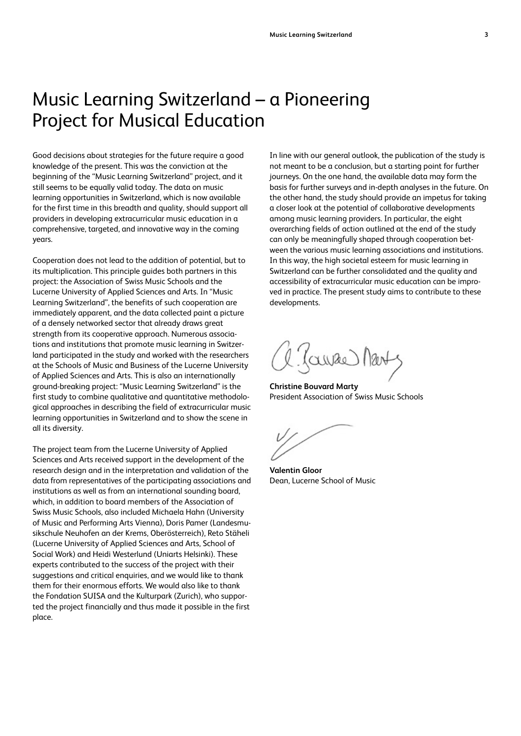## <span id="page-2-0"></span>Music Learning Switzerland – a Pioneering Project for Musical Education

Good decisions about strategies for the future require a good knowledge of the present. This was the conviction at the beginning of the "Music Learning Switzerland" project, and it still seems to be equally valid today. The data on music learning opportunities in Switzerland, which is now available for the first time in this breadth and quality, should support all providers in developing extracurricular music education in a comprehensive, targeted, and innovative way in the coming years.

Cooperation does not lead to the addition of potential, but to its multiplication. This principle guides both partners in this project: the Association of Swiss Music Schools and the Lucerne University of Applied Sciences and Arts. In "Music Learning Switzerland", the benefits of such cooperation are immediately apparent, and the data collected paint a picture of a densely networked sector that already draws great strength from its cooperative approach. Numerous associations and institutions that promote music learning in Switzerland participated in the study and worked with the researchers at the Schools of Music and Business of the Lucerne University of Applied Sciences and Arts. This is also an internationally ground-breaking project: "Music Learning Switzerland" is the first study to combine qualitative and quantitative methodological approaches in describing the field of extracurricular music learning opportunities in Switzerland and to show the scene in all its diversity.

The project team from the Lucerne University of Applied Sciences and Arts received support in the development of the research design and in the interpretation and validation of the data from representatives of the participating associations and institutions as well as from an international sounding board, which, in addition to board members of the Association of Swiss Music Schools, also included Michaela Hahn (University of Music and Performing Arts Vienna), Doris Pamer (Landesmusikschule Neuhofen an der Krems, Oberösterreich), Reto Stäheli (Lucerne University of Applied Sciences and Arts, School of Social Work) and Heidi Westerlund (Uniarts Helsinki). These experts contributed to the success of the project with their suggestions and critical enquiries, and we would like to thank them for their enormous efforts. We would also like to thank the Fondation SUISA and the Kulturpark (Zurich), who supported the project financially and thus made it possible in the first place.

In line with our general outlook, the publication of the study is not meant to be a conclusion, but a starting point for further journeys. On the one hand, the available data may form the basis for further surveys and in-depth analyses in the future. On the other hand, the study should provide an impetus for taking a closer look at the potential of collaborative developments among music learning providers. In particular, the eight overarching fields of action outlined at the end of the study can only be meaningfully shaped through cooperation between the various music learning associations and institutions. In this way, the high societal esteem for music learning in Switzerland can be further consolidated and the quality and accessibility of extracurricular music education can be improved in practice. The present study aims to contribute to these developments.

(awae) Mart

**Christine Bouvard Marty** President Association of Swiss Music Schools

**Valentin Gloor** Dean, Lucerne School of Music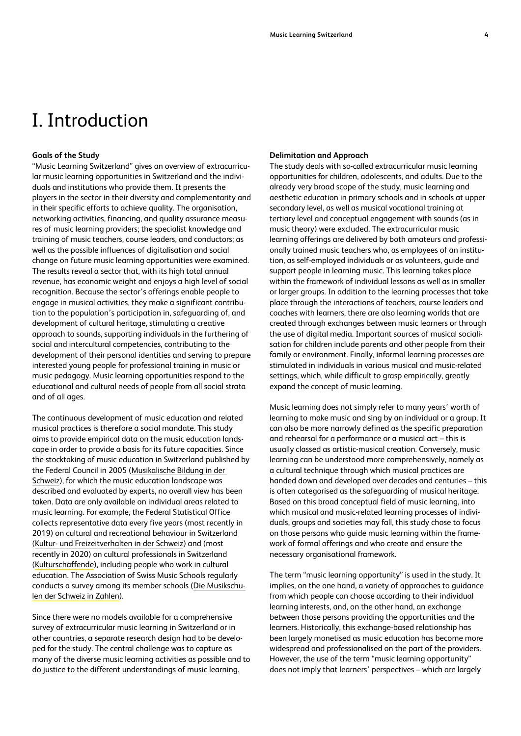### <span id="page-3-0"></span>I. Introduction

#### **Goals of the Study**

"Music Learning Switzerland" gives an overview of extracurricular music learning opportunities in Switzerland and the individuals and institutions who provide them. It presents the players in the sector in their diversity and complementarity and in their specific efforts to achieve quality. The organisation, networking activities, financing, and quality assurance measures of music learning providers; the specialist knowledge and training of music teachers, course leaders, and conductors; as well as the possible influences of digitalisation and social change on future music learning opportunities were examined. The results reveal a sector that, with its high total annual revenue, has economic weight and enjoys a high level of social recognition. Because the sector's offerings enable people to engage in musical activities, they make a significant contribution to the population's participation in, safeguarding of, and development of cultural heritage, stimulating a creative approach to sounds, supporting individuals in the furthering of social and intercultural competencies, contributing to the development of their personal identities and serving to prepare interested young people for professional training in music or music pedagogy. Music learning opportunities respond to the educational and cultural needs of people from all social strata and of all ages.

The continuous development of music education and related musical practices is therefore a social mandate. This study aims to provide empirical data on the music education landscape in order to provide a basis for its future capacities. Since the stocktaking of music education in Switzerland published by the Federal Council in 2005 [\(Musikalische Bildung in der](https://nb-helveticat.primo.exlibrisgroup.com/discovery/search?vid=41SNL_51_INST:helveticat&query=any,contains,sz001499501&lang=de)  [Schweiz](https://nb-helveticat.primo.exlibrisgroup.com/discovery/search?vid=41SNL_51_INST:helveticat&query=any,contains,sz001499501&lang=de)), for which the music education landscape was described and evaluated by experts, no overall view has been taken. Data are only available on individual areas related to music learning. For example, the Federal Statistical Office collects representative data every five years (most recently in 2019) on cultural and recreational behaviour in Switzerland ([Kultur- und Freizeitverhalten in der Schweiz](https://www.bfs.admin.ch/bfs/de/home/statistiken/kultur-medien-informationsgesellschaft-sport/kultur/kulturverhalten.html)) and (most recently in 2020) on cultural professionals in Switzerland ([Kulturschaffende](https://www.bfs.admin.ch/bfs/de/home/statistiken/kultur-medien-informationsgesellschaft-sport/kultur/kulturwirtschaft/personen.assetdetail.17224115.html)), including people who work in cultural education. The Association of Swiss Music Schools regularly conducts a survey among its member schools ([Die Musikschu](https://www.verband-musikschulen.ch/de/downloads-links/dokumentensammlung/Download/411/bericht_vms_statistik_final-pdf)[len der Schweiz in Zahlen](https://www.verband-musikschulen.ch/de/downloads-links/dokumentensammlung/Download/411/bericht_vms_statistik_final-pdf)).

Since there were no models available for a comprehensive survey of extracurricular music learning in Switzerland or in other countries, a separate research design had to be developed for the study. The central challenge was to capture as many of the diverse music learning activities as possible and to do justice to the different understandings of music learning.

#### **Delimitation and Approach**

The study deals with so-called extracurricular music learning opportunities for children, adolescents, and adults. Due to the already very broad scope of the study, music learning and aesthetic education in primary schools and in schools at upper secondary level, as well as musical vocational training at tertiary level and conceptual engagement with sounds (as in music theory) were excluded. The extracurricular music learning offerings are delivered by both amateurs and professionally trained music teachers who, as employees of an institution, as self-employed individuals or as volunteers, guide and support people in learning music. This learning takes place within the framework of individual lessons as well as in smaller or larger groups. In addition to the learning processes that take place through the interactions of teachers, course leaders and coaches with learners, there are also learning worlds that are created through exchanges between music learners or through the use of digital media. Important sources of musical socialisation for children include parents and other people from their family or environment. Finally, informal learning processes are stimulated in individuals in various musical and music-related settings, which, while difficult to grasp empirically, greatly expand the concept of music learning.

Music learning does not simply refer to many years' worth of learning to make music and sing by an individual or a group. It can also be more narrowly defined as the specific preparation and rehearsal for a performance or a musical act – this is usually classed as artistic-musical creation. Conversely, music learning can be understood more comprehensively, namely as a cultural technique through which musical practices are handed down and developed over decades and centuries – this is often categorised as the safeguarding of musical heritage. Based on this broad conceptual field of music learning, into which musical and music-related learning processes of individuals, groups and societies may fall, this study chose to focus on those persons who guide music learning within the framework of formal offerings and who create and ensure the necessary organisational framework.

The term "music learning opportunity" is used in the study. It implies, on the one hand, a variety of approaches to guidance from which people can choose according to their individual learning interests, and, on the other hand, an exchange between those persons providing the opportunities and the learners. Historically, this exchange-based relationship has been largely monetised as music education has become more widespread and professionalised on the part of the providers. However, the use of the term "music learning opportunity" does not imply that learners' perspectives – which are largely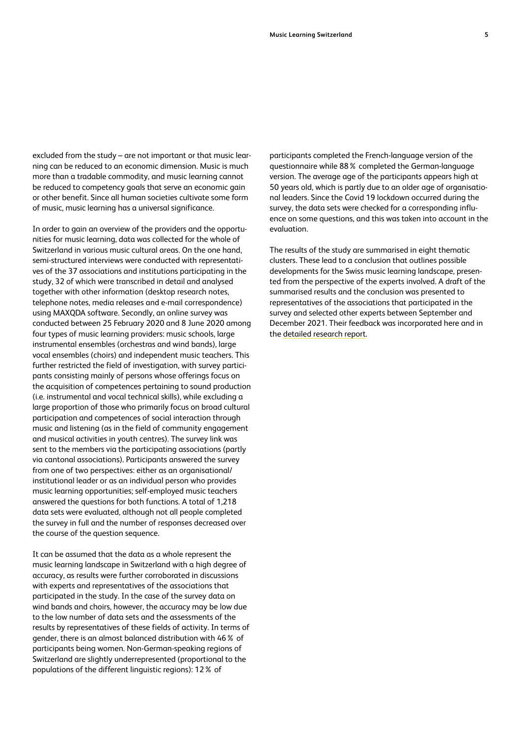excluded from the study – are not important or that music learning can be reduced to an economic dimension. Music is much more than a tradable commodity, and music learning cannot be reduced to competency goals that serve an economic gain or other benefit. Since all human societies cultivate some form of music, music learning has a universal significance.

In order to gain an overview of the providers and the opportunities for music learning, data was collected for the whole of Switzerland in various music cultural areas. On the one hand, semi-structured interviews were conducted with representatives of the 37 associations and institutions participating in the study, 32 of which were transcribed in detail and analysed together with other information (desktop research notes, telephone notes, media releases and e-mail correspondence) using MAXQDA software. Secondly, an online survey was conducted between 25 February 2020 and 8 June 2020 among four types of music learning providers: music schools, large instrumental ensembles (orchestras and wind bands), large vocal ensembles (choirs) and independent music teachers. This further restricted the field of investigation, with survey participants consisting mainly of persons whose offerings focus on the acquisition of competences pertaining to sound production (i.e. instrumental and vocal technical skills), while excluding a large proportion of those who primarily focus on broad cultural participation and competences of social interaction through music and listening (as in the field of community engagement and musical activities in youth centres). The survey link was sent to the members via the participating associations (partly via cantonal associations). Participants answered the survey from one of two perspectives: either as an organisational/ institutional leader or as an individual person who provides music learning opportunities; self-employed music teachers answered the questions for both functions. A total of 1,218 data sets were evaluated, although not all people completed the survey in full and the number of responses decreased over the course of the question sequence.

It can be assumed that the data as a whole represent the music learning landscape in Switzerland with a high degree of accuracy, as results were further corroborated in discussions with experts and representatives of the associations that participated in the study. In the case of the survey data on wind bands and choirs, however, the accuracy may be low due to the low number of data sets and the assessments of the results by representatives of these fields of activity. In terms of gender, there is an almost balanced distribution with 46% of participants being women. Non-German-speaking regions of Switzerland are slightly underrepresented (proportional to the populations of the different linguistic regions): 12% of

participants completed the French-language version of the questionnaire while 88% completed the German-language version. The average age of the participants appears high at 50 years old, which is partly due to an older age of organisational leaders. Since the Covid 19 lockdown occurred during the survey, the data sets were checked for a corresponding influence on some questions, and this was taken into account in the evaluation.

The results of the study are summarised in eight thematic clusters. These lead to a conclusion that outlines possible developments for the Swiss music learning landscape, presented from the perspective of the experts involved. A draft of the summarised results and the conclusion was presented to representatives of the associations that participated in the survey and selected other experts between September and December 2021. Their feedback was incorporated here and in the [detailed research report.](https://zenodo.org/communities/lory_hslu_m_fb/?page=1&size=20)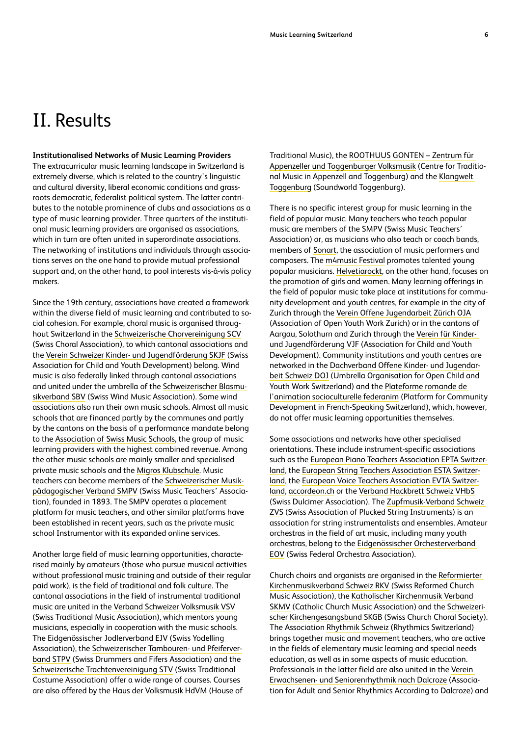#### <span id="page-5-0"></span>**Institutionalised Networks of Music Learning Providers**

The extracurricular music learning landscape in Switzerland is extremely diverse, which is related to the country's linguistic and cultural diversity, liberal economic conditions and grassroots democratic, federalist political system. The latter contributes to the notable prominence of clubs and associations as a type of music learning provider. Three quarters of the institutional music learning providers are organised as associations, which in turn are often united in superordinate associations. The networking of institutions and individuals through associations serves on the one hand to provide mutual professional support and, on the other hand, to pool interests vis-à-vis policy makers.

Since the 19th century, associations have created a framework within the diverse field of music learning and contributed to social cohesion. For example, choral music is organised throughout Switzerland in the [Schweizerische Chorvereinigung SCV](https://www.usc-scv.ch/) (Swiss Choral Association), to which cantonal associations and the [Verein Schweizer Kinder- und Jugendförderung SKJF](http://www.skjf.ch/index.dna) (Swiss Association for Child and Youth Development) belong. Wind music is also federally linked through cantonal associations and united under the umbrella of the [Schweizerischer Blasmu](https://www.windband.ch/de/home/)[sikverband SBV](https://www.windband.ch/de/home/) (Swiss Wind Music Association). Some wind associations also run their own music schools. Almost all music schools that are financed partly by the communes and partly by the cantons on the basis of a performance mandate belong to the [Association of Swiss Music Schools,](https://www.verband-musikschulen.ch/de/home) the group of music learning providers with the highest combined revenue. Among the other music schools are mainly smaller and specialised private music schools and the [Migros Klubschule.](https://www.klubschule.ch/Angebote/Kultur-Kreativitaet/Musik-Kunst-und-Literatur) Music teachers can become members of the [Schweizerischer Musik](https://smpv.ch/en/)[pädagogischer Verband SMPV](https://smpv.ch/en/) (Swiss Music Teachers' Association), founded in 1893. The SMPV operates a placement platform for music teachers, and other similar platforms have been established in recent years, such as the private music school [Instrumentor](https://www.instrumentor.ch/en) with its expanded online services.

Another large field of music learning opportunities, characterised mainly by amateurs (those who pursue musical activities without professional music training and outside of their regular paid work), is the field of traditional and folk culture. The cantonal associations in the field of instrumental traditional music are united in the [Verband Schweizer Volksmusik VSV](https://www.vsv-asmp.ch/de/) (Swiss Traditional Music Association), which mentors young musicians, especially in cooperation with the music schools. The [Eidgenössischer Jodlerverband EJV](https://www.jodlerverband.ch/verband) (Swiss Yodelling Association), the [Schweizerischer Tambouren- und Pfeiferver](https://stpv-astf.ch/en/)[band STPV](https://stpv-astf.ch/en/) (Swiss Drummers and Fifers Association) and the [Schweizerische Trachtenvereinigung STV](https://www.trachtenvereinigung.ch/) (Swiss Traditional Costume Association) offer a wide range of courses. Courses are also offered by the [Haus der Volksmusik HdVM](https://www.hausdervolksmusik.ch/) (House of

Traditional Music), the [ROOTHUUS GONTEN – Zentrum für](https://www.roothuus-gonten.ch/cms/index.php/de/)  [Appenzeller und Toggenburger Volksmusik](https://www.roothuus-gonten.ch/cms/index.php/de/) (Centre for Traditional Music in Appenzell and Toggenburg) and the [Klangwelt](https://klangwelt.swiss/de/)  [Toggenburg](https://klangwelt.swiss/de/) (Soundworld Toggenburg).

There is no specific interest group for music learning in the field of popular music. Many teachers who teach popular music are members of the SMPV (Swiss Music Teachers' Association) or, as musicians who also teach or coach bands, members of [Sonart,](https://www.sonart.swiss/) the association of music performers and composers. The [m4music Festival](http://www.m4music.ch/en/) promotes talented young popular musicians. [Helvetiarockt,](https://helvetiarockt.ch/en/) on the other hand, focuses on the promotion of girls and women. Many learning offerings in the field of popular music take place at institutions for community development and youth centres, for example in the city of Zurich through the [Verein Offene Jugendarbeit Zürich OJA](https://www.oja.ch/) (Association of Open Youth Work Zurich) or in the cantons of Aargau, Solothurn and Zurich through the [Verein für Kinder](https://www.vjf.ch/kinder-und-jugendfoerderung)[und Jugendförderung VJF](https://www.vjf.ch/kinder-und-jugendfoerderung) (Association for Child and Youth Development). Community institutions and youth centres are networked in the [Dachverband Offene Kinder- und Jugendar](https://doj.ch/)[beit Schweiz DOJ](https://doj.ch/) (Umbrella Organisation for Open Child and Youth Work Switzerland) and the [Plateforme romande de](https://federanim.ch/)  [l'animation socioculturelle federanim](https://federanim.ch/) (Platform for Community Development in French-Speaking Switzerland), which, however, do not offer music learning opportunities themselves.

Some associations and networks have other specialised orientations. These include instrument-specific associations such as the [European Piano Teachers Association EPTA Switzer](https://www.epta.ch/de/)[land,](https://www.epta.ch/de/) the [European String Teachers Association ESTA Switzer](https://www.esta-suisse.ch/)[land,](https://www.esta-suisse.ch/) the [European Voice Teachers Association EVTA Switzer](https://www.evta.ch/de_DE/)[land,](https://www.evta.ch/de_DE/) [accordeon.ch](https://accordeon.ch/) or the [Verband Hackbrett Schweiz VHbS](https://www.vhbs.ch/) (Swiss Dulcimer Association). The [Zupfmusik-Verband Schweiz](https://zupfmusik-verband.ch/)  [ZVS](https://zupfmusik-verband.ch/) (Swiss Association of Plucked String Instruments) is an association for string instrumentalists and ensembles. Amateur orchestras in the field of art music, including many youth orchestras, belong to the [Eidgenössischer Orchesterverband](https://www.eov-sfo.ch/index.php/de/)  [EOV](https://www.eov-sfo.ch/index.php/de/) (Swiss Federal Orchestra Association).

Church choirs and organists are organised in the [Reformierter](https://www.rkv.ch/)  [Kirchenmusikverband Schweiz RKV](https://www.rkv.ch/) (Swiss Reformed Church Music Association), the [Katholischer Kirchenmusik Verband](https://www.skmv.org/)  [SKMV](https://www.skmv.org/) (Catholic Church Music Association) and the [Schweizeri](https://www.kirchengesangsbund.ch/)[scher Kirchengesangsbund SKGB](https://www.kirchengesangsbund.ch/) (Swiss Church Choral Society). The Association [Rhythmik Schweiz](http://www.rhythmik.ch/) (Rhythmics Switzerland) brings together music and movement teachers, who are active in the fields of elementary music learning and special needs education, as well as in some aspects of music education. Professionals in the latter field are also united in the [Verein](http://www.seniorenrhythmik.ch/)  [Erwachsenen- und Seniorenrhythmik nach Dalcroze](http://www.seniorenrhythmik.ch/) (Association for Adult and Senior Rhythmics According to Dalcroze) and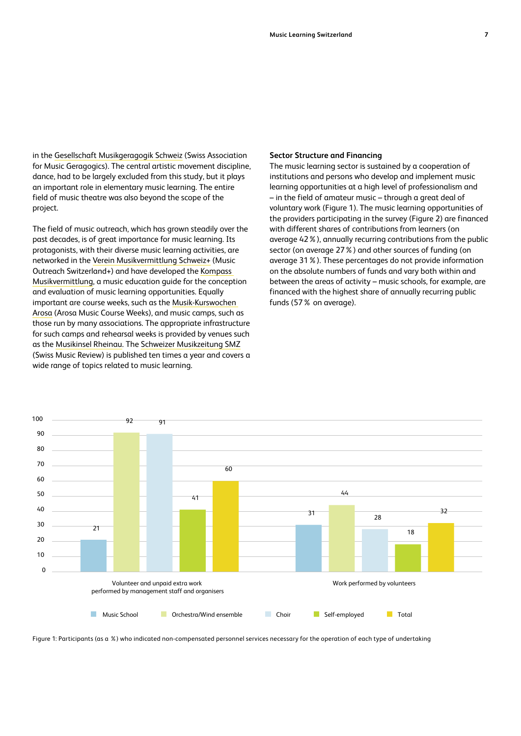<span id="page-6-0"></span>in the [Gesellschaft Musikgeragogik Schweiz](https://musikgeragogik.ch/) (Swiss Association for Music Geragogics). The central artistic movement discipline, dance, had to be largely excluded from this study, but it plays an important role in elementary music learning. The entire field of music theatre was also beyond the scope of the project.

The field of music outreach, which has grown steadily over the past decades, is of great importance for music learning. Its protagonists, with their diverse music learning activities, are networked in the [Verein Musikvermittlung Schweiz+](https://musikvermittlungschweiz.ch/) (Music Outreach Switzerland+) and have developed the [Kompass](https://kompass.kultur-vermittlung.ch/en/compass)  [Musikvermittlung](https://kompass.kultur-vermittlung.ch/en/compass), a music education guide for the conception and evaluation of music learning opportunities. Equally important are course weeks, such as the [Musik-Kurswochen](https://www.musikkurswochen.ch/?l=en)  [Arosa](https://www.musikkurswochen.ch/?l=en) (Arosa Music Course Weeks), and music camps, such as those run by many associations. The appropriate infrastructure for such camps and rehearsal weeks is provided by venues such as the [Musikinsel Rheinau.](https://www.musikinsel.ch/de) The [Schweizer Musikzeitung SMZ](https://www.musikzeitung.ch/de) (Swiss Music Review) is published ten times a year and covers a wide range of topics related to music learning.

#### **Sector Structure and Financing**

The music learning sector is sustained by a cooperation of institutions and persons who develop and implement music learning opportunities at a high level of professionalism and – in the field of amateur music – through a great deal of voluntary work (Figure 1). The music learning opportunities of the providers participating in the survey (Figure 2) are financed with different shares of contributions from learners (on average 42%), annually recurring contributions from the public sector (on average 27%) and other sources of funding (on average 31%). These percentages do not provide information on the absolute numbers of funds and vary both within and between the areas of activity – music schools, for example, are financed with the highest share of annually recurring public funds (57% on average).



Figure 1: Participants (as a %) who indicated non-compensated personnel services necessary for the operation of each type of undertaking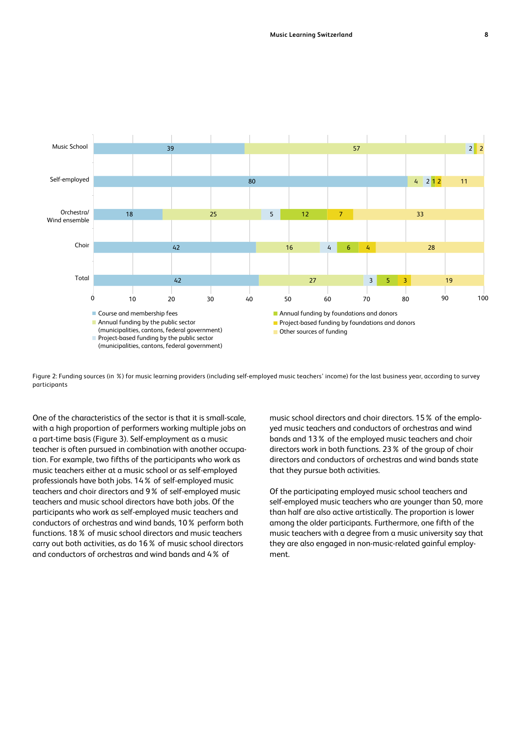

Figure 2: Funding sources (in %) for music learning providers (including self-employed music teachers' income) for the last business year, according to survey participants

One of the characteristics of the sector is that it is small-scale, with a high proportion of performers working multiple jobs on a part-time basis (Figure 3). Self-employment as a music teacher is often pursued in combination with another occupation. For example, two fifths of the participants who work as music teachers either at a music school or as self-employed professionals have both jobs. 14% of self-employed music teachers and choir directors and 9% of self-employed music teachers and music school directors have both jobs. Of the participants who work as self-employed music teachers and conductors of orchestras and wind bands, 10% perform both functions. 18% of music school directors and music teachers carry out both activities, as do 16% of music school directors and conductors of orchestras and wind bands and 4% of

music school directors and choir directors. 15% of the employed music teachers and conductors of orchestras and wind bands and 13% of the employed music teachers and choir directors work in both functions. 23% of the group of choir directors and conductors of orchestras and wind bands state that they pursue both activities.

Of the participating employed music school teachers and self-employed music teachers who are younger than 50, more than half are also active artistically. The proportion is lower among the older participants. Furthermore, one fifth of the music teachers with a degree from a music university say that they are also engaged in non-music-related gainful employment.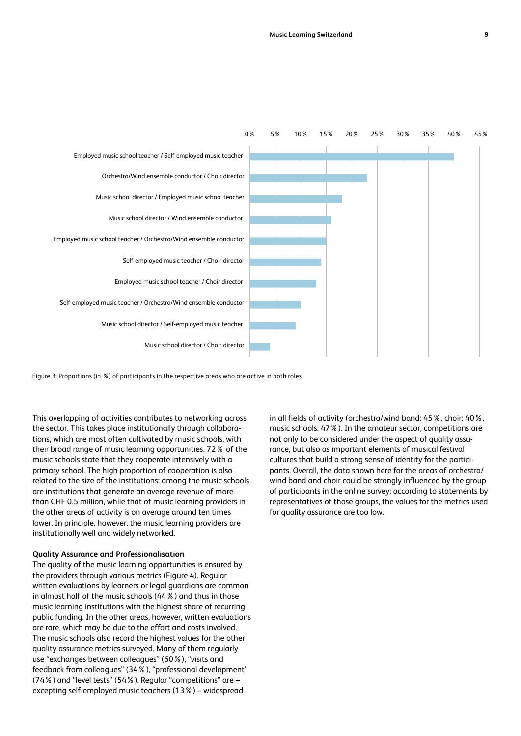<span id="page-8-0"></span>

Figure 3: Proportions (in %) of participants in the respective areas who are active in both roles

This overlapping of activities contributes to networking across the sector. This takes place institutionally through collaborations, which are most often cultivated by music schools, with their broad range of music learning opportunities. 72% of the music schools state that they cooperate intensively with a primary school. The high proportion of cooperation is also related to the size of the institutions: among the music schools are institutions that generate an average revenue of more than CHF 0.5 million, while that of music learning providers in the other areas of activity is on average around ten times lower. In principle, however, the music learning providers are institutionally well and widely networked.

#### **Quality Assurance and Professionalisation**

The quality of the music learning opportunities is ensured by the providers through various metrics (Figure 4). Regular written evaluations by learners or legal guardians are common in almost half of the music schools (44%) and thus in those music learning institutions with the highest share of recurring public funding. In the other areas, however, written evaluations are rare, which may be due to the effort and costs involved. The music schools also record the highest values for the other quality assurance metrics surveyed. Many of them regularly use "exchanges between colleagues" (60%), "visits and feedback from colleagues" (34%), "professional development" (74%) and "level tests" (54%). Regular "competitions" are – excepting self-employed music teachers (13%) – widespread

in all fields of activity (orchestra/wind band: 45%, choir: 40%, music schools: 47%). In the amateur sector, competitions are not only to be considered under the aspect of quality assurance, but also as important elements of musical festival cultures that build a strong sense of identity for the participants. Overall, the data shown here for the areas of orchestra/ wind band and choir could be strongly influenced by the group of participants in the online survey: according to statements by representatives of those groups, the values for the metrics used for quality assurance are too low.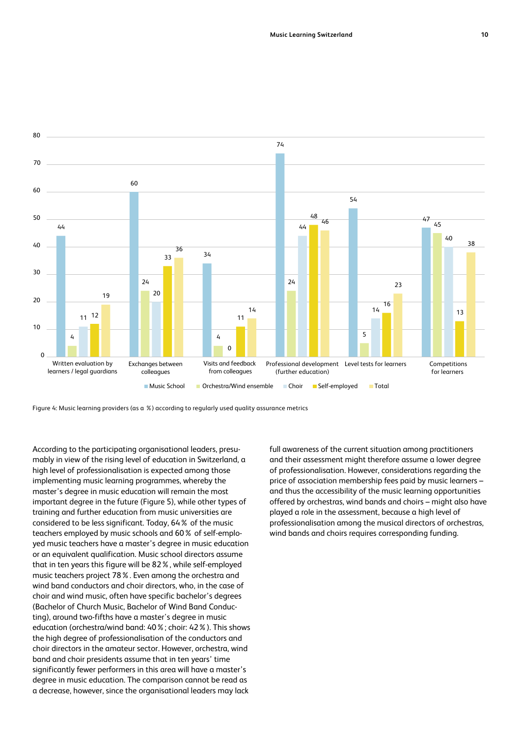

Figure 4: Music learning providers (as a %) according to regularly used quality assurance metrics

According to the participating organisational leaders, presumably in view of the rising level of education in Switzerland, a high level of professionalisation is expected among those implementing music learning programmes, whereby the master's degree in music education will remain the most important degree in the future (Figure 5), while other types of training and further education from music universities are considered to be less significant. Today, 64% of the music teachers employed by music schools and 60% of self-employed music teachers have a master's degree in music education or an equivalent qualification. Music school directors assume that in ten years this figure will be 82%, while self-employed music teachers project 78%. Even among the orchestra and wind band conductors and choir directors, who, in the case of choir and wind music, often have specific bachelor's degrees (Bachelor of Church Music, Bachelor of Wind Band Conducting), around two-fifths have a master's degree in music education (orchestra/wind band: 40%; choir: 42%). This shows the high degree of professionalisation of the conductors and choir directors in the amateur sector. However, orchestra, wind band and choir presidents assume that in ten years' time significantly fewer performers in this area will have a master's degree in music education. The comparison cannot be read as a decrease, however, since the organisational leaders may lack

full awareness of the current situation among practitioners and their assessment might therefore assume a lower degree of professionalisation. However, considerations regarding the price of association membership fees paid by music learners – and thus the accessibility of the music learning opportunities offered by orchestras, wind bands and choirs – might also have played a role in the assessment, because a high level of professionalisation among the musical directors of orchestras, wind bands and choirs requires corresponding funding.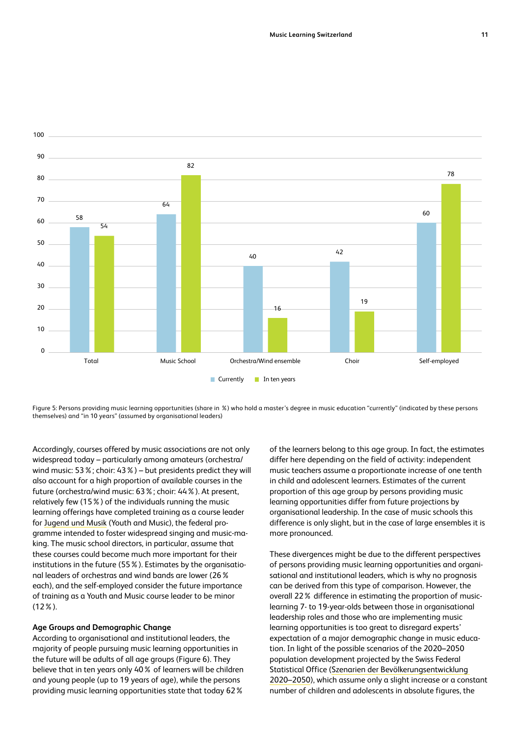<span id="page-10-0"></span>

Figure 5: Persons providing music learning opportunities (share in %) who hold a master's degree in music education "currently" (indicated by these persons themselves) and "in 10 years" (assumed by organisational leaders)

Accordingly, courses offered by music associations are not only widespread today – particularly among amateurs (orchestra/ wind music: 53%; choir: 43%) – but presidents predict they will also account for a high proportion of available courses in the future (orchestra/wind music: 63%; choir: 44%). At present, relatively few (15%) of the individuals running the music learning offerings have completed training as a course leader for [Jugend und Musik](https://www.bak.admin.ch/bak/de/home/sprachen-und-gesellschaft/musikalische-bildung/herzlich-willkommen-beim-programm-jugend-und-musik.html) (Youth and Music), the federal programme intended to foster widespread singing and music-making. The music school directors, in particular, assume that these courses could become much more important for their institutions in the future (55%). Estimates by the organisational leaders of orchestras and wind bands are lower (26% each), and the self-employed consider the future importance of training as a Youth and Music course leader to be minor (12%).

#### **Age Groups and Demographic Change**

According to organisational and institutional leaders, the majority of people pursuing music learning opportunities in the future will be adults of all age groups (Figure 6). They believe that in ten years only 40% of learners will be children and young people (up to 19 years of age), while the persons providing music learning opportunities state that today 62%

of the learners belong to this age group. In fact, the estimates differ here depending on the field of activity: independent music teachers assume a proportionate increase of one tenth in child and adolescent learners. Estimates of the current proportion of this age group by persons providing music learning opportunities differ from future projections by organisational leadership. In the case of music schools this difference is only slight, but in the case of large ensembles it is more pronounced.

These divergences might be due to the different perspectives of persons providing music learning opportunities and organisational and institutional leaders, which is why no prognosis can be derived from this type of comparison. However, the overall 22% difference in estimating the proportion of musiclearning 7- to 19-year-olds between those in organisational leadership roles and those who are implementing music learning opportunities is too great to disregard experts' expectation of a major demographic change in music education. In light of the possible scenarios of the 2020–2050 population development projected by the Swiss Federal Statistical Office [\(Szenarien der Bevölkerungsentwicklung](https://www.bfs.admin.ch/bfs/de/home/statistiken/bevoelkerung/zukuenftige-entwicklung/schweiz-szenarien.assetdetail.14963221.html))  [2020–2050\)](https://www.bfs.admin.ch/bfs/de/home/statistiken/bevoelkerung/zukuenftige-entwicklung/schweiz-szenarien.assetdetail.14963221.html)), which assume only a slight increase or a constant number of children and adolescents in absolute figures, the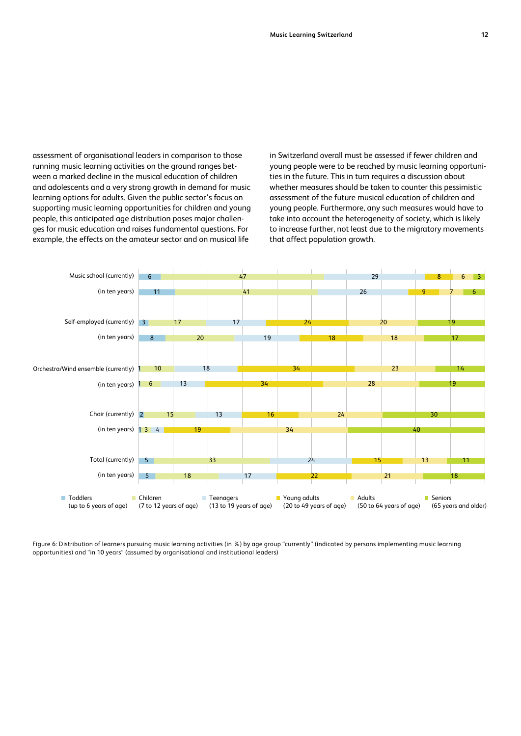assessment of organisational leaders in comparison to those running music learning activities on the ground ranges between a marked decline in the musical education of children and adolescents and a very strong growth in demand for music learning options for adults. Given the public sector's focus on supporting music learning opportunities for children and young people, this anticipated age distribution poses major challenges for music education and raises fundamental questions. For example, the effects on the amateur sector and on musical life

in Switzerland overall must be assessed if fewer children and young people were to be reached by music learning opportunities in the future. This in turn requires a discussion about whether measures should be taken to counter this pessimistic assessment of the future musical education of children and young people. Furthermore, any such measures would have to take into account the heterogeneity of society, which is likely to increase further, not least due to the migratory movements that affect population growth.



Figure 6: Distribution of learners pursuing music learning activities (in %) by age group "currently" (indicated by persons implementing music learning opportunities) and "in 10 years" (assumed by organisational and institutional leaders)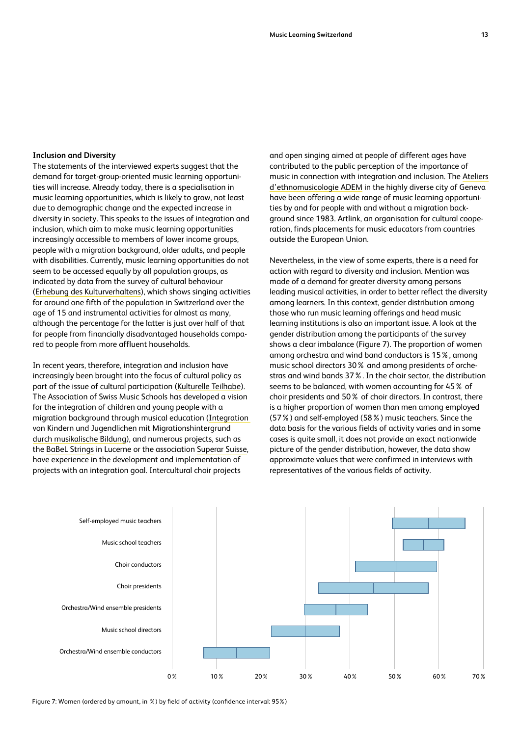#### <span id="page-12-0"></span>**Inclusion and Diversity**

The statements of the interviewed experts suggest that the demand for target-group-oriented music learning opportunities will increase. Already today, there is a specialisation in music learning opportunities, which is likely to grow, not least due to demographic change and the expected increase in diversity in society. This speaks to the issues of integration and inclusion, which aim to make music learning opportunities increasingly accessible to members of lower income groups, people with a migration background, older adults, and people with disabilities. Currently, music learning opportunities do not seem to be accessed equally by all population groups, as indicated by data from the survey of cultural behaviour ([Erhebung des Kulturverhaltens](https://www.bfs.admin.ch/bfs/de/home/statistiken/kultur-medien-informationsgesellschaft-sport/kultur/kulturverhalten.html)), which shows singing activities for around one fifth of the population in Switzerland over the age of 15 and instrumental activities for almost as many, although the percentage for the latter is just over half of that for people from financially disadvantaged households compared to people from more affluent households.

In recent years, therefore, integration and inclusion have increasingly been brought into the focus of cultural policy as part of the issue of cultural participation ([Kulturelle Teilhabe](https://www.bak.admin.ch/bak/de/home/sprachen-und-gesellschaft/kulturelle-teilhabe.html)). The Association of Swiss Music Schools has developed a vision for the integration of children and young people with a migration background through musical education ([Integration](https://www.verband-musikschulen.ch/de/downloads-links/dokumentensammlung/Download/345/vms_leitfaden_integration-durch-musikalischebildung_final_juni2020-pdf)  [von Kindern und Jugendlichen mit Migrationshintergrund](https://www.verband-musikschulen.ch/de/downloads-links/dokumentensammlung/Download/345/vms_leitfaden_integration-durch-musikalischebildung_final_juni2020-pdf)  [durch musikalische Bildung](https://www.verband-musikschulen.ch/de/downloads-links/dokumentensammlung/Download/345/vms_leitfaden_integration-durch-musikalischebildung_final_juni2020-pdf)), and numerous projects, such as the [BaBeL Strings](https://babelstrings.ch/) in Lucerne or the association [Superar Suisse](http://www.superarsuisse.org/), have experience in the development and implementation of projects with an integration goal. Intercultural choir projects

and open singing aimed at people of different ages have contributed to the public perception of the importance of music in connection with integration and inclusion. The [Ateliers](https://adem.ch/en/home-page) [d'ethnomusicologie ADEM](https://adem.ch/en/home-page) in the highly diverse city of Geneva have been offering a wide range of music learning opportunities by and for people with and without a migration background since 1983. [Artlink,](https://artlink.ch/) an organisation for cultural cooperation, finds placements for music educators from countries outside the European Union.

Nevertheless, in the view of some experts, there is a need for action with regard to diversity and inclusion. Mention was made of a demand for greater diversity among persons leading musical activities, in order to better reflect the diversity among learners. In this context, gender distribution among those who run music learning offerings and head music learning institutions is also an important issue. A look at the gender distribution among the participants of the survey shows a clear imbalance (Figure 7). The proportion of women among orchestra and wind band conductors is 15%, among music school directors 30% and among presidents of orchestras and wind bands 37%. In the choir sector, the distribution seems to be balanced, with women accounting for 45% of choir presidents and 50% of choir directors. In contrast, there is a higher proportion of women than men among employed (57%) and self-employed (58%) music teachers. Since the data basis for the various fields of activity varies and in some cases is quite small, it does not provide an exact nationwide picture of the gender distribution, however, the data show approximate values that were confirmed in interviews with representatives of the various fields of activity.



Figure 7: Women (ordered by amount, in %) by field of activity (confidence interval: 95%)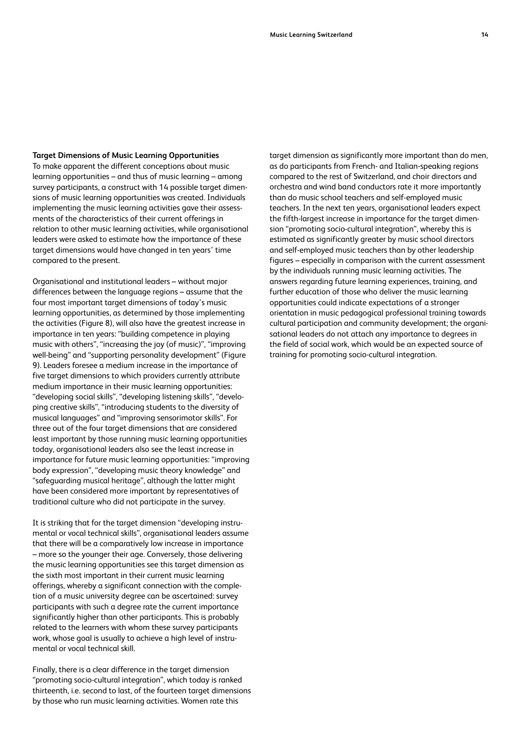#### <span id="page-13-0"></span>**Target Dimensions of Music Learning Opportunities**

To make apparent the different conceptions about music learning opportunities – and thus of music learning – among survey participants, a construct with 14 possible target dimensions of music learning opportunities was created. Individuals implementing the music learning activities gave their assessments of the characteristics of their current offerings in relation to other music learning activities, while organisational leaders were asked to estimate how the importance of these target dimensions would have changed in ten years' time compared to the present.

Organisational and institutional leaders – without major differences between the language regions – assume that the four most important target dimensions of today's music learning opportunities, as determined by those implementing the activities (Figure 8), will also have the greatest increase in importance in ten years: "building competence in playing music with others", "increasing the joy (of music)", "improving well-being" and "supporting personality development" (Figure 9). Leaders foresee a medium increase in the importance of five target dimensions to which providers currently attribute medium importance in their music learning opportunities: "developing social skills", "developing listening skills", "developing creative skills", "introducing students to the diversity of musical languages" and "improving sensorimotor skills". For three out of the four target dimensions that are considered least important by those running music learning opportunities today, organisational leaders also see the least increase in importance for future music learning opportunities: "improving body expression", "developing music theory knowledge" and "safeguarding musical heritage", although the latter might have been considered more important by representatives of traditional culture who did not participate in the survey.

It is striking that for the target dimension "developing instrumental or vocal technical skills", organisational leaders assume that there will be a comparatively low increase in importance – more so the younger their age. Conversely, those delivering the music learning opportunities see this target dimension as the sixth most important in their current music learning offerings, whereby a significant connection with the completion of a music university degree can be ascertained: survey participants with such a degree rate the current importance significantly higher than other participants. This is probably related to the learners with whom these survey participants work, whose goal is usually to achieve a high level of instrumental or vocal technical skill.

Finally, there is a clear difference in the target dimension "promoting socio-cultural integration", which today is ranked thirteenth, i.e. second to last, of the fourteen target dimensions by those who run music learning activities. Women rate this

target dimension as significantly more important than do men, as do participants from French- and Italian-speaking regions compared to the rest of Switzerland, and choir directors and orchestra and wind band conductors rate it more importantly than do music school teachers and self-employed music teachers. In the next ten years, organisational leaders expect the fifth-largest increase in importance for the target dimension "promoting socio-cultural integration", whereby this is estimated as significantly greater by music school directors and self-employed music teachers than by other leadership figures – especially in comparison with the current assessment by the individuals running music learning activities. The answers regarding future learning experiences, training, and further education of those who deliver the music learning opportunities could indicate expectations of a stronger orientation in music pedagogical professional training towards cultural participation and community development; the organisational leaders do not attach any importance to degrees in the field of social work, which would be an expected source of training for promoting socio-cultural integration.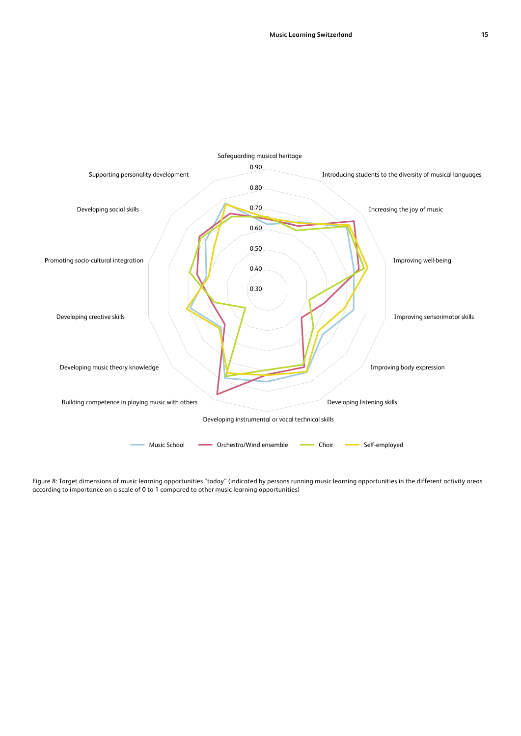

Figure 8: Target dimensions of music learning opportunities "today" (indicated by persons running music learning opportunities in the different activity areas according to importance on a scale of 0 to 1 compared to other music learning opportunities)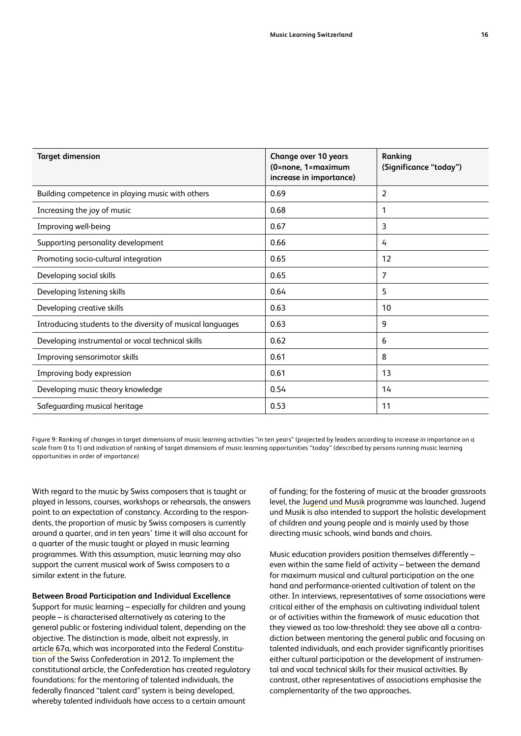<span id="page-15-0"></span>

| <b>Target dimension</b>                                    | <b>Change over 10 years</b><br>(0=none, 1=maximum<br>increase in importance) | Ranking<br>(Significance "today") |
|------------------------------------------------------------|------------------------------------------------------------------------------|-----------------------------------|
| Building competence in playing music with others           | 0.69                                                                         | 2                                 |
| Increasing the joy of music                                | 0.68                                                                         | $\mathbf{1}$                      |
| Improving well-being                                       | 0.67                                                                         | 3                                 |
| Supporting personality development                         | 0.66                                                                         | $\frac{1}{4}$                     |
| Promoting socio-cultural integration                       | 0.65                                                                         | 12                                |
| Developing social skills                                   | 0.65                                                                         | 7                                 |
| Developing listening skills                                | 0.64                                                                         | 5                                 |
| Developing creative skills                                 | 0.63                                                                         | 10                                |
| Introducing students to the diversity of musical languages | 0.63                                                                         | 9                                 |
| Developing instrumental or vocal technical skills          | 0.62                                                                         | 6                                 |
| Improving sensorimotor skills                              | 0.61                                                                         | 8                                 |
| Improving body expression                                  | 0.61                                                                         | 13                                |
| Developing music theory knowledge                          | 0.54                                                                         | 14                                |
| Safeguarding musical heritage                              | 0.53                                                                         | 11                                |

Figure 9: Ranking of changes in target dimensions of music learning activities "in ten years" (projected by leaders according to increase in importance on a scale from 0 to 1) and indication of ranking of target dimensions of music learning opportunities "today" (described by persons running music learning opportunities in order of importance)

With regard to the music by Swiss composers that is taught or played in lessons, courses, workshops or rehearsals, the answers point to an expectation of constancy. According to the respondents, the proportion of music by Swiss composers is currently around a quarter, and in ten years' time it will also account for a quarter of the music taught or played in music learning programmes. With this assumption, music learning may also support the current musical work of Swiss composers to a similar extent in the future.

**Between Broad Participation and Individual Excellence**  Support for music learning – especially for children and young people – is characterised alternatively as catering to the general public or fostering individual talent, depending on the objective. The distinction is made, albeit not expressly, in [article 67a](https://www.fedlex.admin.ch/eli/cc/1999/404/en#art_67_a), which was incorporated into the Federal Constitution of the Swiss Confederation in 2012. To implement the constitutional article, the Confederation has created regulatory foundations: for the [mentoring of talented individuals,](https://www.bak.admin.ch/bak/de/home/sprachen-und-gesellschaft/musikalische-bildung/herzlich-willkommen-beim-programm-jugend-und-musik.html) the federally financed "talent card" system is being developed, whereby talented individuals have access to a certain amount

of funding; for the fostering of music at the broader grassroots level, the [Jugend und Musik](https://www.bak.admin.ch/bak/de/home/sprachen-und-gesellschaft/musikalische-bildung/herzlich-willkommen-beim-programm-jugend-und-musik.html) programme was launched. Jugend und Musik is also intended to support the holistic development of children and young people and is mainly used by those directing music schools, wind bands and choirs.

Music education providers position themselves differently – even within the same field of activity – between the demand for maximum musical and cultural participation on the one hand and performance-oriented cultivation of talent on the other. In interviews, representatives of some associations were critical either of the emphasis on cultivating individual talent or of activities within the framework of music education that they viewed as too low-threshold: they see above all a contradiction between mentoring the general public and focusing on talented individuals, and each provider significantly prioritises either cultural participation or the development of instrumental and vocal technical skills for their musical activities. By contrast, other representatives of associations emphasise the complementarity of the two approaches.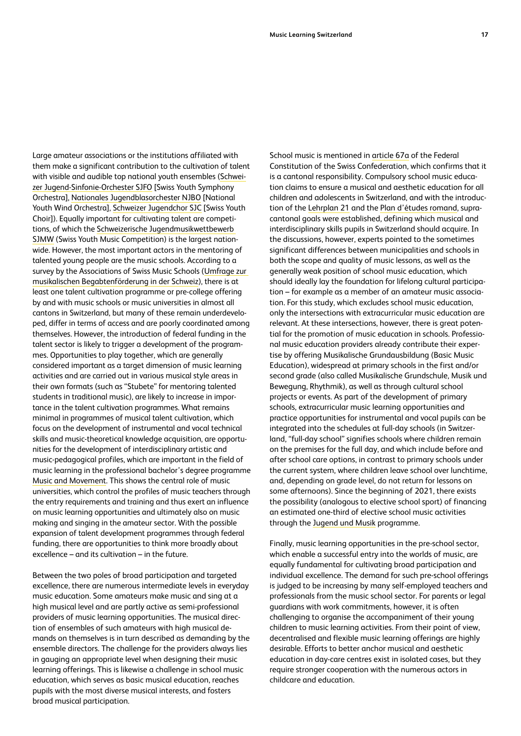Large amateur associations or the institutions affiliated with them make a significant contribution to the cultivation of talent with visible and audible top national youth ensembles ([Schwei](https://sjso.ch/)[zer Jugend-Sinfonie-Orchester SJFO](https://sjso.ch/) [Swiss Youth Symphony Orchestra], [Nationales Jugendblasorchester NJBO](https://www.njbo.ch/de/) [National Youth Wind Orchestra], [Schweizer Jugendchor SJC](https://csj-sjc.ch/index.php/de/) [Swiss Youth Choir]). Equally important for cultivating talent are competitions, of which the [Schweizerische Jugendmusikwettbewerb](https://sjmw.ch/)  [SJMW](https://sjmw.ch/) (Swiss Youth Music Competition) is the largest nationwide. However, the most important actors in the mentoring of talented young people are the music schools. According to a survey by the Associations of Swiss Music Schools [\(Umfrage zur](https://www.verband-musikschulen.ch/de/downloads-links/dokumentensammlung/Download/336/vms_umfrage_begabtenfoerderung_nov18_final_d-pdf)  [musikalischen Begabtenförderung in der Schweiz\)](https://www.verband-musikschulen.ch/de/downloads-links/dokumentensammlung/Download/336/vms_umfrage_begabtenfoerderung_nov18_final_d-pdf), there is at least one talent cultivation programme or pre-college offering by and with music schools or music universities in almost all cantons in Switzerland, but many of these remain underdeveloped, differ in terms of access and are poorly coordinated among themselves. However, the introduction of federal funding in the talent sector is likely to trigger a development of the programmes. Opportunities to play together, which are generally considered important as a target dimension of music learning activities and are carried out in various musical style areas in their own formats (such as "Stubete" for mentoring talented students in traditional music), are likely to increase in importance in the talent cultivation programmes. What remains minimal in programmes of musical talent cultivation, which focus on the development of instrumental and vocal technical skills and music-theoretical knowledge acquisition, are opportunities for the development of interdisciplinary artistic and music-pedagogical profiles, which are important in the field of music learning in the professional bachelor's degree programme [Music and Movement](http://www.rhythmik.ch/Aus/Weiterbildung/). This shows the central role of music universities, which control the profiles of music teachers through the entry requirements and training and thus exert an influence on music learning opportunities and ultimately also on music making and singing in the amateur sector. With the possible expansion of talent development programmes through federal funding, there are opportunities to think more broadly about excellence – and its cultivation – in the future.

Between the two poles of broad participation and targeted excellence, there are numerous intermediate levels in everyday music education. Some amateurs make music and sing at a high musical level and are partly active as semi-professional providers of music learning opportunities. The musical direction of ensembles of such amateurs with high musical demands on themselves is in turn described as demanding by the ensemble directors. The challenge for the providers always lies in gauging an appropriate level when designing their music learning offerings. This is likewise a challenge in school music education, which serves as basic musical education, reaches pupils with the most diverse musical interests, and fosters broad musical participation.

School music is mentioned in [article 67a](https://www.fedlex.admin.ch/eli/cc/1999/404/en#art_67_a) of the Federal Constitution of the Swiss Confederation, which confirms that it is a cantonal responsibility. Compulsory school music education claims to ensure a musical and aesthetic education for all children and adolescents in Switzerland, and with the introduction of the [Lehrplan 21](https://www.lehrplan21.ch/) and the [Plan d'études romand](https://www.plandetudes.ch/), supracantonal goals were established, defining which musical and interdisciplinary skills pupils in Switzerland should acquire. In the discussions, however, experts pointed to the sometimes significant differences between municipalities and schools in both the scope and quality of music lessons, as well as the generally weak position of school music education, which should ideally lay the foundation for lifelong cultural participation – for example as a member of an amateur music association. For this study, which excludes school music education, only the intersections with extracurricular music education are relevant. At these intersections, however, there is great potential for the promotion of music education in schools. Professional music education providers already contribute their expertise by offering Musikalische Grundausbildung (Basic Music Education), widespread at primary schools in the first and/or second grade (also called Musikalische Grundschule, Musik und Bewegung, Rhythmik), as well as through cultural school projects or events. As part of the development of primary schools, extracurricular music learning opportunities and practice opportunities for instrumental and vocal pupils can be integrated into the schedules at full-day schools (in Switzerland, "full-day school" signifies schools where children remain on the premises for the full day, and which include before and after school care options, in contrast to primary schools under the current system, where children leave school over lunchtime, and, depending on grade level, do not return for lessons on some afternoons). Since the beginning of 2021, there exists the possibility (analogous to elective school sport) of financing an estimated one-third of elective school music activities through the [Jugend und Musik](https://www.bak.admin.ch/bak/de/home/sprachen-und-gesellschaft/musikalische-bildung/herzlich-willkommen-beim-programm-jugend-und-musik.html) programme.

Finally, music learning opportunities in the pre-school sector, which enable a successful entry into the worlds of music, are equally fundamental for cultivating broad participation and individual excellence. The demand for such pre-school offerings is judged to be increasing by many self-employed teachers and professionals from the music school sector. For parents or legal guardians with work commitments, however, it is often challenging to organise the accompaniment of their young children to music learning activities. From their point of view, decentralised and flexible music learning offerings are highly desirable. Efforts to better anchor musical and aesthetic education in day-care centres exist in isolated cases, but they require stronger cooperation with the numerous actors in childcare and education.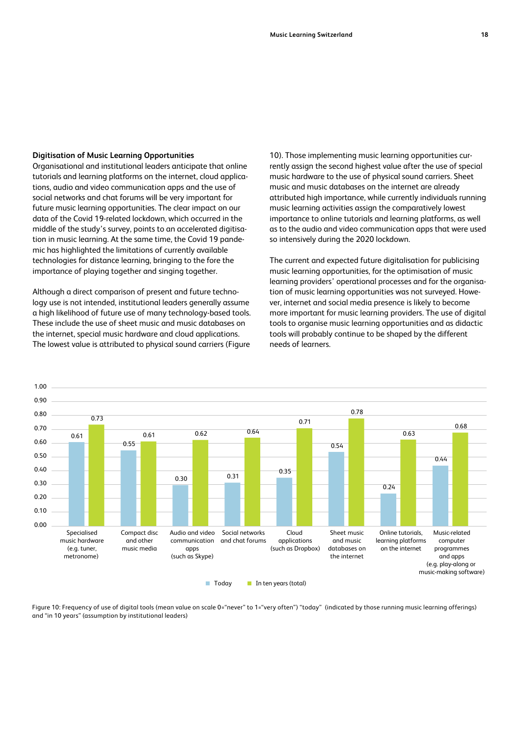#### <span id="page-17-0"></span>**Digitisation of Music Learning Opportunities**

Organisational and institutional leaders anticipate that online tutorials and learning platforms on the internet, cloud applications, audio and video communication apps and the use of social networks and chat forums will be very important for future music learning opportunities. The clear impact on our data of the Covid 19-related lockdown, which occurred in the middle of the study's survey, points to an accelerated digitisation in music learning. At the same time, the Covid 19 pandemic has highlighted the limitations of currently available technologies for distance learning, bringing to the fore the importance of playing together and singing together.

Although a direct comparison of present and future technology use is not intended, institutional leaders generally assume a high likelihood of future use of many technology-based tools. These include the use of sheet music and music databases on the internet, special music hardware and cloud applications. The lowest value is attributed to physical sound carriers (Figure

10). Those implementing music learning opportunities currently assign the second highest value after the use of special music hardware to the use of physical sound carriers. Sheet music and music databases on the internet are already attributed high importance, while currently individuals running music learning activities assign the comparatively lowest importance to online tutorials and learning platforms, as well as to the audio and video communication apps that were used so intensively during the 2020 lockdown.

The current and expected future digitalisation for publicising music learning opportunities, for the optimisation of music learning providers' operational processes and for the organisation of music learning opportunities was not surveyed. However, internet and social media presence is likely to become more important for music learning providers. The use of digital tools to organise music learning opportunities and as didactic tools will probably continue to be shaped by the different needs of learners.



Figure 10: Frequency of use of digital tools (mean value on scale 0="never" to 1="very often") "today" (indicated by those running music learning offerings) and "in 10 years" (assumption by institutional leaders)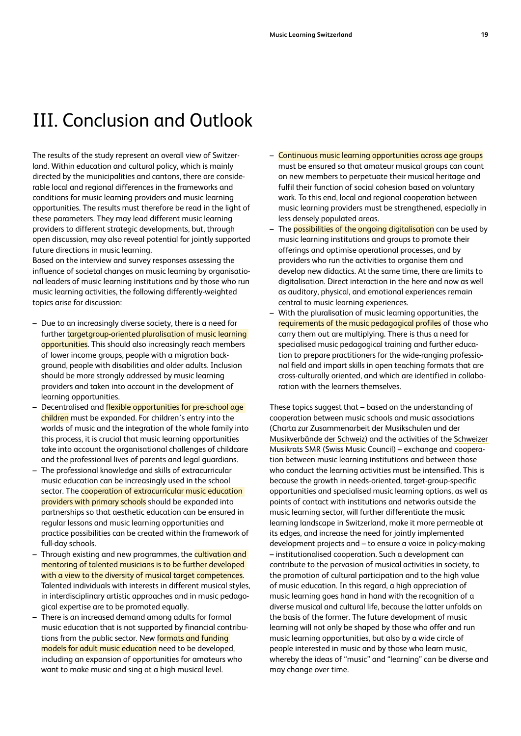## <span id="page-18-0"></span>III. Conclusion and Outlook

The results of the study represent an overall view of Switzerland. Within education and cultural policy, which is mainly directed by the municipalities and cantons, there are considerable local and regional differences in the frameworks and conditions for music learning providers and music learning opportunities. The results must therefore be read in the light of these parameters. They may lead different music learning providers to different strategic developments, but, through open discussion, may also reveal potential for jointly supported future directions in music learning.

Based on the interview and survey responses assessing the influence of societal changes on music learning by organisational leaders of music learning institutions and by those who run music learning activities, the following differently-weighted topics arise for discussion:

- Due to an increasingly diverse society, there is a need for further targetgroup-oriented pluralisation of music learning opportunities. This should also increasingly reach members of lower income groups, people with a migration background, people with disabilities and older adults. Inclusion should be more strongly addressed by music learning providers and taken into account in the development of learning opportunities.
- Decentralised and flexible opportunities for pre-school age children must be expanded. For children's entry into the worlds of music and the integration of the whole family into this process, it is crucial that music learning opportunities take into account the organisational challenges of childcare and the professional lives of parents and legal guardians.
- The professional knowledge and skills of extracurricular music education can be increasingly used in the school sector. The **cooperation of extracurricular music education** providers with primary schools should be expanded into partnerships so that aesthetic education can be ensured in regular lessons and music learning opportunities and practice possibilities can be created within the framework of full-day schools.
- Through existing and new programmes, the cultivation and mentoring of talented musicians is to be further developed with a view to the diversity of musical target competences. Talented individuals with interests in different musical styles, in interdisciplinary artistic approaches and in music pedagogical expertise are to be promoted equally.
- There is an increased demand among adults for formal music education that is not supported by financial contributions from the public sector. New **formats and funding** models for adult music education need to be developed, including an expansion of opportunities for amateurs who want to make music and sing at a high musical level.
- Continuous music learning opportunities across age groups must be ensured so that amateur musical groups can count on new members to perpetuate their musical heritage and fulfil their function of social cohesion based on voluntary work. To this end, local and regional cooperation between music learning providers must be strengthened, especially in less densely populated areas.
- The **possibilities of the ongoing digitalisation** can be used by music learning institutions and groups to promote their offerings and optimise operational processes, and by providers who run the activities to organise them and develop new didactics. At the same time, there are limits to digitalisation. Direct interaction in the here and now as well as auditory, physical, and emotional experiences remain central to music learning experiences.
- With the pluralisation of music learning opportunities, the requirements of the music pedagogical profiles of those who carry them out are multiplying. There is thus a need for specialised music pedagogical training and further education to prepare practitioners for the wide-ranging professional field and impart skills in open teaching formats that are cross-culturally oriented, and which are identified in collaboration with the learners themselves.

These topics suggest that – based on the understanding of cooperation between music schools and music associations [\(Charta zur Zusammenarbeit der Musikschulen und der](https://www.verband-musikschulen.ch/de/downloads-links/dokumentensammlung/Download/92/charta_vms_laienverbaende_04-04-2016d-pdf)  [Musikverbände der Schweiz\)](https://www.verband-musikschulen.ch/de/downloads-links/dokumentensammlung/Download/92/charta_vms_laienverbaende_04-04-2016d-pdf) and the activities of the [Schweizer](https://www.musikrat.ch/home/)  [Musikrats SMR](https://www.musikrat.ch/home/) (Swiss Music Council) – exchange and cooperation between music learning institutions and between those who conduct the learning activities must be intensified. This is because the growth in needs-oriented, target-group-specific opportunities and specialised music learning options, as well as points of contact with institutions and networks outside the music learning sector, will further differentiate the music learning landscape in Switzerland, make it more permeable at its edges, and increase the need for jointly implemented development projects and – to ensure a voice in policy-making – institutionalised cooperation. Such a development can contribute to the pervasion of musical activities in society, to the promotion of cultural participation and to the high value of music education. In this regard, a high appreciation of music learning goes hand in hand with the recognition of a diverse musical and cultural life, because the latter unfolds on the basis of the former. The future development of music learning will not only be shaped by those who offer and run music learning opportunities, but also by a wide circle of people interested in music and by those who learn music, whereby the ideas of "music" and "learning" can be diverse and may change over time.